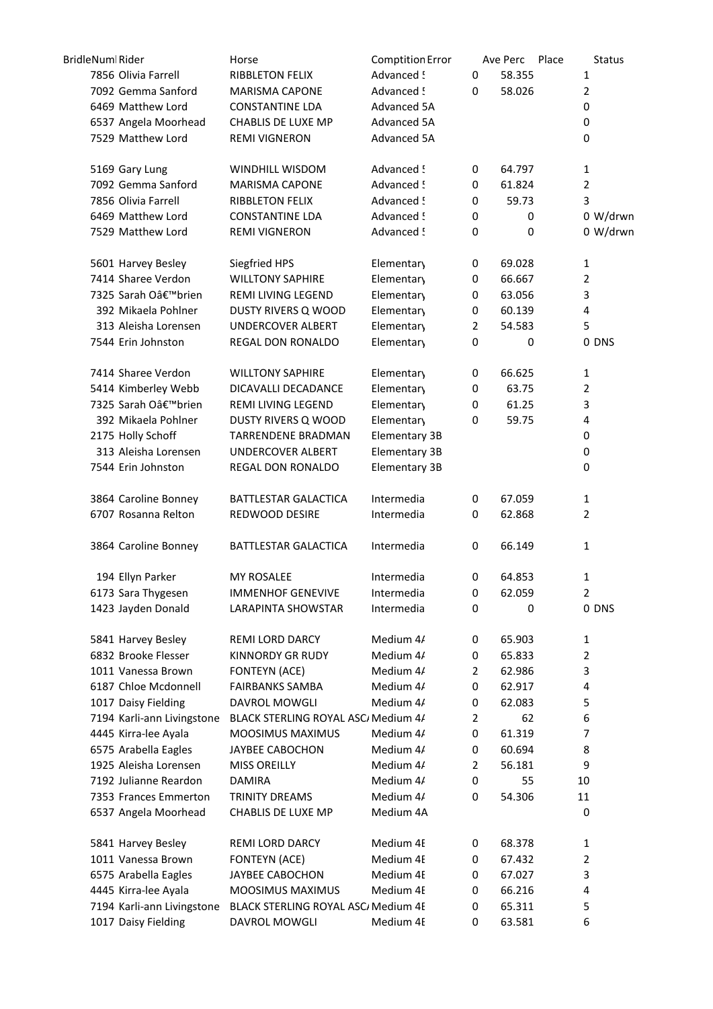| BridleNuml Rider           | Horse                               | <b>Comptition Error</b> |                | Place<br>Ave Perc | <b>Status</b>  |
|----------------------------|-------------------------------------|-------------------------|----------------|-------------------|----------------|
| 7856 Olivia Farrell        | <b>RIBBLETON FELIX</b>              | Advanced !              | 0              | 58.355            | 1              |
| 7092 Gemma Sanford         | <b>MARISMA CAPONE</b>               | Advanced !              | 0              | 58.026            | $\overline{2}$ |
| 6469 Matthew Lord          | <b>CONSTANTINE LDA</b>              | Advanced 5A             |                |                   | 0              |
| 6537 Angela Moorhead       | CHABLIS DE LUXE MP                  | Advanced 5A             |                |                   | 0              |
| 7529 Matthew Lord          | <b>REMI VIGNERON</b>                | Advanced 5A             |                |                   | 0              |
| 5169 Gary Lung             | WINDHILL WISDOM                     | Advanced !              | 0              | 64.797            | $\mathbf{1}$   |
| 7092 Gemma Sanford         | <b>MARISMA CAPONE</b>               | Advanced !              | 0              | 61.824            | $\overline{2}$ |
| 7856 Olivia Farrell        | <b>RIBBLETON FELIX</b>              | Advanced !              | 0              | 59.73             | 3              |
| 6469 Matthew Lord          | <b>CONSTANTINE LDA</b>              | Advanced !              | 0              | 0                 | 0 W/drwn       |
| 7529 Matthew Lord          | <b>REMI VIGNERON</b>                | Advanced !              | 0              | 0                 | 0 W/drwn       |
| 5601 Harvey Besley         | Siegfried HPS                       | Elementary              | 0              | 69.028            | $\mathbf{1}$   |
| 7414 Sharee Verdon         | <b>WILLTONY SAPHIRE</b>             | <b>Elementary</b>       | 0              | 66.667            | $\overline{2}$ |
| 7325 Sarah O'brien         | REMI LIVING LEGEND                  | Elementary              | 0              | 63.056            | 3              |
| 392 Mikaela Pohlner        | <b>DUSTY RIVERS Q WOOD</b>          | Elementary              | 0              | 60.139            | 4              |
| 313 Aleisha Lorensen       | UNDERCOVER ALBERT                   | Elementary              | $\overline{2}$ | 54.583            | 5              |
| 7544 Erin Johnston         | REGAL DON RONALDO                   | Elementary              | 0              | 0                 | 0 DNS          |
| 7414 Sharee Verdon         | <b>WILLTONY SAPHIRE</b>             | Elementary              | 0              | 66.625            | $\mathbf{1}$   |
| 5414 Kimberley Webb        | DICAVALLI DECADANCE                 | Elementary              | 0              | 63.75             | $\overline{2}$ |
| 7325 Sarah O'brien         | REMI LIVING LEGEND                  | Elementary              | 0              | 61.25             | 3              |
| 392 Mikaela Pohlner        | DUSTY RIVERS Q WOOD                 | Elementary              | 0              | 59.75             | 4              |
| 2175 Holly Schoff          | <b>TARRENDENE BRADMAN</b>           | Elementary 3B           |                |                   | 0              |
| 313 Aleisha Lorensen       | UNDERCOVER ALBERT                   | Elementary 3B           |                |                   | 0              |
| 7544 Erin Johnston         | REGAL DON RONALDO                   | Elementary 3B           |                |                   | 0              |
| 3864 Caroline Bonney       | BATTLESTAR GALACTICA                | Intermedia              | 0              | 67.059            | $\mathbf{1}$   |
| 6707 Rosanna Relton        | REDWOOD DESIRE                      | Intermedia              | 0              | 62.868            | $\overline{2}$ |
| 3864 Caroline Bonney       | BATTLESTAR GALACTICA                | Intermedia              | 0              | 66.149            | $\mathbf{1}$   |
| 194 Ellyn Parker           | <b>MY ROSALEE</b>                   | Intermedia              | 0              | 64.853            | $\mathbf{1}$   |
| 6173 Sara Thygesen         | <b>IMMENHOF GENEVIVE</b>            | Intermedia              | 0              | 62.059            | 2              |
| 1423 Jayden Donald         | <b>LARAPINTA SHOWSTAR</b>           | Intermedia              | $\mathbf 0$    | 0                 | 0 DNS          |
| 5841 Harvey Besley         | REMI LORD DARCY                     | Medium 4/               | 0              | 65.903            | 1              |
| 6832 Brooke Flesser        | <b>KINNORDY GR RUDY</b>             | Medium 4/               | 0              | 65.833            | $\overline{2}$ |
| 1011 Vanessa Brown         | FONTEYN (ACE)                       | Medium 4/               | 2              | 62.986            | 3              |
| 6187 Chloe Mcdonnell       | <b>FAIRBANKS SAMBA</b>              | Medium 4/               | 0              | 62.917            | 4              |
| 1017 Daisy Fielding        | <b>DAVROL MOWGLI</b>                | Medium 4/               | 0              | 62.083            | 5              |
| 7194 Karli-ann Livingstone | BLACK STERLING ROYAL ASC/ Medium 4/ |                         | $\overline{2}$ | 62                | 6              |
| 4445 Kirra-lee Ayala       | MOOSIMUS MAXIMUS                    | Medium 4/               | 0              | 61.319            | 7              |
| 6575 Arabella Eagles       | JAYBEE CABOCHON                     | Medium 4/               | 0              | 60.694            | 8              |
| 1925 Aleisha Lorensen      | <b>MISS OREILLY</b>                 | Medium 4/               | $\overline{2}$ | 56.181            | 9              |
| 7192 Julianne Reardon      | <b>DAMIRA</b>                       | Medium 4/               | 0              | 55                | 10             |
| 7353 Frances Emmerton      | TRINITY DREAMS                      | Medium 4/               | 0              | 54.306            | 11             |
| 6537 Angela Moorhead       | CHABLIS DE LUXE MP                  | Medium 4A               |                |                   | 0              |
| 5841 Harvey Besley         | <b>REMI LORD DARCY</b>              | Medium 4E               | 0              | 68.378            | 1              |
| 1011 Vanessa Brown         | <b>FONTEYN (ACE)</b>                | Medium 4E               | 0              | 67.432            | 2              |
| 6575 Arabella Eagles       | JAYBEE CABOCHON                     | Medium 4E               | 0              | 67.027            | 3              |
| 4445 Kirra-lee Ayala       | <b>MOOSIMUS MAXIMUS</b>             | Medium 4E               | 0              | 66.216            | 4              |
| 7194 Karli-ann Livingstone | BLACK STERLING ROYAL ASC/ Medium 4E |                         | 0              | 65.311            | 5              |
| 1017 Daisy Fielding        | DAVROL MOWGLI                       | Medium 4E               | 0              | 63.581            | 6              |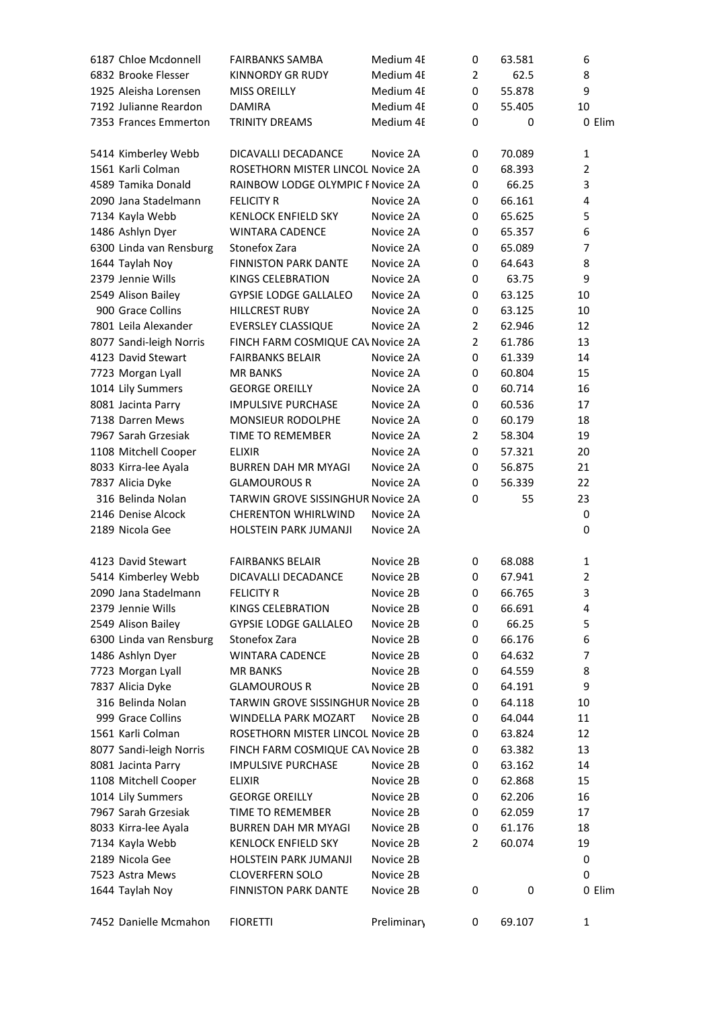| 6187 Chloe Mcdonnell    | <b>FAIRBANKS SAMBA</b>                   | Medium 4E   | 0              | 63.581 | 6              |
|-------------------------|------------------------------------------|-------------|----------------|--------|----------------|
| 6832 Brooke Flesser     | <b>KINNORDY GR RUDY</b>                  | Medium 4F   | $\overline{2}$ | 62.5   | 8              |
| 1925 Aleisha Lorensen   | <b>MISS OREILLY</b>                      | Medium 4E   | 0              | 55.878 | 9              |
| 7192 Julianne Reardon   | <b>DAMIRA</b>                            | Medium 4E   | 0              | 55.405 | 10             |
| 7353 Frances Emmerton   | <b>TRINITY DREAMS</b>                    | Medium 4E   | 0              | 0      | 0 Elim         |
| 5414 Kimberley Webb     | DICAVALLI DECADANCE                      | Novice 2A   | 0              | 70.089 | 1              |
| 1561 Karli Colman       | ROSETHORN MISTER LINCOL Novice 2A        |             | 0              | 68.393 | $\overline{2}$ |
| 4589 Tamika Donald      | RAINBOW LODGE OLYMPIC F Novice 2A        |             | 0              | 66.25  | 3              |
| 2090 Jana Stadelmann    | <b>FELICITY R</b>                        | Novice 2A   | 0              | 66.161 | 4              |
| 7134 Kayla Webb         | <b>KENLOCK ENFIELD SKY</b>               | Novice 2A   | 0              | 65.625 | 5              |
| 1486 Ashlyn Dyer        | <b>WINTARA CADENCE</b>                   | Novice 2A   | 0              | 65.357 | 6              |
| 6300 Linda van Rensburg | Stonefox Zara                            | Novice 2A   | 0              | 65.089 | 7              |
| 1644 Taylah Noy         | <b>FINNISTON PARK DANTE</b>              | Novice 2A   | 0              | 64.643 | 8              |
| 2379 Jennie Wills       | <b>KINGS CELEBRATION</b>                 | Novice 2A   | 0              | 63.75  | 9              |
| 2549 Alison Bailey      | <b>GYPSIE LODGE GALLALEO</b>             | Novice 2A   | 0              | 63.125 | 10             |
| 900 Grace Collins       | <b>HILLCREST RUBY</b>                    | Novice 2A   | 0              | 63.125 | 10             |
| 7801 Leila Alexander    | <b>EVERSLEY CLASSIQUE</b>                | Novice 2A   | $\overline{2}$ | 62.946 | 12             |
| 8077 Sandi-leigh Norris | FINCH FARM COSMIQUE CAV Novice 2A        |             | $\overline{2}$ | 61.786 | 13             |
| 4123 David Stewart      | <b>FAIRBANKS BELAIR</b>                  | Novice 2A   | 0              | 61.339 | 14             |
| 7723 Morgan Lyall       | <b>MR BANKS</b>                          | Novice 2A   | 0              | 60.804 | 15             |
| 1014 Lily Summers       | <b>GEORGE OREILLY</b>                    | Novice 2A   | 0              | 60.714 | 16             |
| 8081 Jacinta Parry      | <b>IMPULSIVE PURCHASE</b>                | Novice 2A   | 0              | 60.536 | 17             |
| 7138 Darren Mews        | MONSIEUR RODOLPHE                        | Novice 2A   | 0              | 60.179 | 18             |
| 7967 Sarah Grzesiak     | TIME TO REMEMBER                         | Novice 2A   | $\overline{2}$ | 58.304 | 19             |
| 1108 Mitchell Cooper    | <b>ELIXIR</b>                            | Novice 2A   | 0              | 57.321 | 20             |
| 8033 Kirra-lee Ayala    | <b>BURREN DAH MR MYAGI</b>               | Novice 2A   | 0              | 56.875 | 21             |
| 7837 Alicia Dyke        | <b>GLAMOUROUS R</b>                      | Novice 2A   | 0              | 56.339 | 22             |
| 316 Belinda Nolan       | TARWIN GROVE SISSINGHUR Novice 2A        |             | 0              | 55     | 23             |
| 2146 Denise Alcock      | <b>CHERENTON WHIRLWIND</b>               | Novice 2A   |                |        | 0              |
| 2189 Nicola Gee         | HOLSTEIN PARK JUMANJI                    | Novice 2A   |                |        | 0              |
| 4123 David Stewart      | <b>FAIRBANKS BELAIR</b>                  | Novice 2B   | 0              | 68.088 | 1              |
| 5414 Kimberley Webb     | DICAVALLI DECADANCE                      | Novice 2B   | 0              | 67.941 | 2              |
| 2090 Jana Stadelmann    | <b>FELICITY R</b>                        | Novice 2B   | 0              | 66.765 | 3              |
| 2379 Jennie Wills       | KINGS CELEBRATION                        | Novice 2B   | 0              | 66.691 | 4              |
| 2549 Alison Bailey      | <b>GYPSIE LODGE GALLALEO</b>             | Novice 2B   | 0              | 66.25  | 5              |
| 6300 Linda van Rensburg | Stonefox Zara                            | Novice 2B   | 0              | 66.176 | 6              |
| 1486 Ashlyn Dyer        | <b>WINTARA CADENCE</b>                   | Novice 2B   | 0              | 64.632 | 7              |
| 7723 Morgan Lyall       | <b>MR BANKS</b>                          | Novice 2B   | 0              | 64.559 | 8              |
| 7837 Alicia Dyke        | <b>GLAMOUROUS R</b>                      | Novice 2B   | 0              | 64.191 | 9              |
| 316 Belinda Nolan       | <b>TARWIN GROVE SISSINGHUR Novice 2B</b> |             | 0              | 64.118 | 10             |
| 999 Grace Collins       | WINDELLA PARK MOZART                     | Novice 2B   | 0              | 64.044 | 11             |
| 1561 Karli Colman       | ROSETHORN MISTER LINCOL Novice 2B        |             | 0              | 63.824 | 12             |
| 8077 Sandi-leigh Norris | FINCH FARM COSMIQUE CAV Novice 2B        |             | 0              | 63.382 | 13             |
| 8081 Jacinta Parry      | <b>IMPULSIVE PURCHASE</b>                | Novice 2B   | 0              | 63.162 | 14             |
| 1108 Mitchell Cooper    | ELIXIR                                   | Novice 2B   | 0              | 62.868 | 15             |
| 1014 Lily Summers       | <b>GEORGE OREILLY</b>                    | Novice 2B   | 0              | 62.206 | 16             |
| 7967 Sarah Grzesiak     | TIME TO REMEMBER                         | Novice 2B   | 0              | 62.059 | 17             |
| 8033 Kirra-lee Ayala    | <b>BURREN DAH MR MYAGI</b>               | Novice 2B   | 0              | 61.176 | 18             |
| 7134 Kayla Webb         | <b>KENLOCK ENFIELD SKY</b>               | Novice 2B   | 2              | 60.074 | 19             |
| 2189 Nicola Gee         | HOLSTEIN PARK JUMANJI                    | Novice 2B   |                |        | 0              |
| 7523 Astra Mews         | <b>CLOVERFERN SOLO</b>                   | Novice 2B   |                |        | 0              |
| 1644 Taylah Noy         | <b>FINNISTON PARK DANTE</b>              | Novice 2B   | 0              | 0      | 0 Elim         |
| 7452 Danielle Mcmahon   | <b>FIORETTI</b>                          | Preliminary | 0              | 69.107 | 1              |
|                         |                                          |             |                |        |                |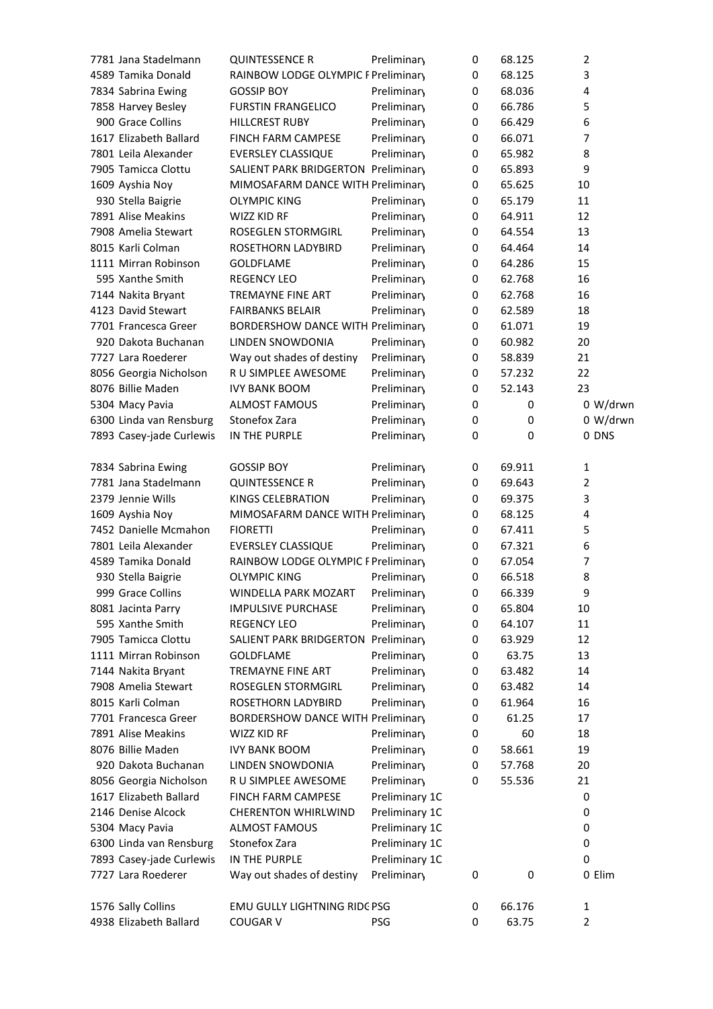| 7781 Jana Stadelmann     | <b>QUINTESSENCE R</b>                    | Preliminary    | 0           | 68.125 | 2        |
|--------------------------|------------------------------------------|----------------|-------------|--------|----------|
| 4589 Tamika Donald       | RAINBOW LODGE OLYMPIC F Preliminary      |                | 0           | 68.125 | 3        |
| 7834 Sabrina Ewing       | <b>GOSSIP BOY</b>                        | Preliminary    | 0           | 68.036 | 4        |
| 7858 Harvey Besley       | <b>FURSTIN FRANGELICO</b>                | Preliminary    | 0           | 66.786 | 5        |
| 900 Grace Collins        | <b>HILLCREST RUBY</b>                    | Preliminary    | 0           | 66.429 | 6        |
| 1617 Elizabeth Ballard   | FINCH FARM CAMPESE                       | Preliminary    | 0           | 66.071 | 7        |
| 7801 Leila Alexander     | EVERSLEY CLASSIQUE                       | Preliminary    | $\mathbf 0$ | 65.982 | 8        |
| 7905 Tamicca Clottu      | SALIENT PARK BRIDGERTON Preliminary      |                | 0           | 65.893 | 9        |
| 1609 Ayshia Noy          | MIMOSAFARM DANCE WITH Preliminary        |                | 0           | 65.625 | 10       |
| 930 Stella Baigrie       | <b>OLYMPIC KING</b>                      | Preliminary    | 0           | 65.179 | 11       |
| 7891 Alise Meakins       | WIZZ KID RF                              | Preliminary    | 0           | 64.911 | 12       |
| 7908 Amelia Stewart      | ROSEGLEN STORMGIRL                       | Preliminary    | 0           | 64.554 | 13       |
| 8015 Karli Colman        | ROSETHORN LADYBIRD                       | Preliminary    | 0           | 64.464 | 14       |
| 1111 Mirran Robinson     | <b>GOLDFLAME</b>                         | Preliminary    | 0           | 64.286 | 15       |
| 595 Xanthe Smith         | <b>REGENCY LEO</b>                       | Preliminary    | 0           | 62.768 | 16       |
| 7144 Nakita Bryant       | <b>TREMAYNE FINE ART</b>                 | Preliminary    | 0           | 62.768 | 16       |
| 4123 David Stewart       | <b>FAIRBANKS BELAIR</b>                  | Preliminary    | 0           | 62.589 | 18       |
| 7701 Francesca Greer     | <b>BORDERSHOW DANCE WITH Preliminary</b> |                | $\mathbf 0$ | 61.071 | 19       |
| 920 Dakota Buchanan      | LINDEN SNOWDONIA                         | Preliminary    | 0           | 60.982 | 20       |
| 7727 Lara Roederer       | Way out shades of destiny                | Preliminary    | 0           | 58.839 | 21       |
| 8056 Georgia Nicholson   | R U SIMPLEE AWESOME                      | Preliminary    | 0           | 57.232 | 22       |
| 8076 Billie Maden        | <b>IVY BANK BOOM</b>                     | Preliminary    | 0           | 52.143 | 23       |
| 5304 Macy Pavia          | <b>ALMOST FAMOUS</b>                     | Preliminary    | 0           | 0      | 0 W/drwn |
| 6300 Linda van Rensburg  | Stonefox Zara                            | Preliminary    | 0           | 0      | 0 W/drwn |
| 7893 Casey-jade Curlewis | IN THE PURPLE                            | Preliminary    | 0           | 0      | 0 DNS    |
|                          |                                          |                |             |        |          |
| 7834 Sabrina Ewing       | <b>GOSSIP BOY</b>                        | Preliminary    | 0           | 69.911 | 1        |
| 7781 Jana Stadelmann     | <b>QUINTESSENCE R</b>                    | Preliminary    | 0           | 69.643 | 2        |
| 2379 Jennie Wills        | KINGS CELEBRATION                        | Preliminary    | 0           | 69.375 | 3        |
| 1609 Ayshia Noy          | MIMOSAFARM DANCE WITH Preliminary        |                | 0           | 68.125 | 4        |
| 7452 Danielle Mcmahon    | <b>FIORETTI</b>                          | Preliminary    | 0           | 67.411 | 5        |
| 7801 Leila Alexander     | <b>EVERSLEY CLASSIQUE</b>                | Preliminary    | 0           | 67.321 | 6        |
| 4589 Tamika Donald       | RAINBOW LODGE OLYMPIC F Preliminary      |                | 0           | 67.054 | 7        |
| 930 Stella Baigrie       | <b>OLYMPIC KING</b>                      | Preliminary    | 0           | 66.518 | 8        |
| 999 Grace Collins        | WINDELLA PARK MOZART                     | Preliminary    | 0           | 66.339 | 9        |
| 8081 Jacinta Parry       | <b>IMPULSIVE PURCHASE</b>                | Preliminary    | 0           | 65.804 | 10       |
| 595 Xanthe Smith         | <b>REGENCY LEO</b>                       | Preliminary    | 0           | 64.107 | 11       |
| 7905 Tamicca Clottu      | SALIENT PARK BRIDGERTON Preliminary      |                | 0           | 63.929 | 12       |
| 1111 Mirran Robinson     | <b>GOLDFLAME</b>                         | Preliminary    | 0           | 63.75  | 13       |
| 7144 Nakita Bryant       | <b>TREMAYNE FINE ART</b>                 | Preliminary    | 0           | 63.482 | 14       |
| 7908 Amelia Stewart      | ROSEGLEN STORMGIRL                       | Preliminary    | 0           | 63.482 | 14       |
| 8015 Karli Colman        | ROSETHORN LADYBIRD                       | Preliminary    | 0           | 61.964 | 16       |
| 7701 Francesca Greer     | <b>BORDERSHOW DANCE WITH Preliminary</b> |                | 0           | 61.25  | 17       |
| 7891 Alise Meakins       | WIZZ KID RF                              | Preliminary    | 0           | 60     | 18       |
| 8076 Billie Maden        | <b>IVY BANK BOOM</b>                     | Preliminary    | 0           | 58.661 | 19       |
| 920 Dakota Buchanan      | LINDEN SNOWDONIA                         | Preliminary    | 0           | 57.768 | 20       |
| 8056 Georgia Nicholson   | R U SIMPLEE AWESOME                      | Preliminary    | 0           | 55.536 | 21       |
| 1617 Elizabeth Ballard   | <b>FINCH FARM CAMPESE</b>                | Preliminary 1C |             |        | 0        |
| 2146 Denise Alcock       | <b>CHERENTON WHIRLWIND</b>               | Preliminary 1C |             |        | 0        |
| 5304 Macy Pavia          | <b>ALMOST FAMOUS</b>                     | Preliminary 1C |             |        | 0        |
| 6300 Linda van Rensburg  | Stonefox Zara                            | Preliminary 1C |             |        | 0        |
| 7893 Casey-jade Curlewis | IN THE PURPLE                            | Preliminary 1C |             |        | 0        |
| 7727 Lara Roederer       | Way out shades of destiny                | Preliminary    | 0           | 0      | 0 Elim   |
| 1576 Sally Collins       | EMU GULLY LIGHTNING RIDC PSG             |                | 0           | 66.176 | 1        |
| 4938 Elizabeth Ballard   | <b>COUGAR V</b>                          | PSG            | 0           | 63.75  | 2        |
|                          |                                          |                |             |        |          |